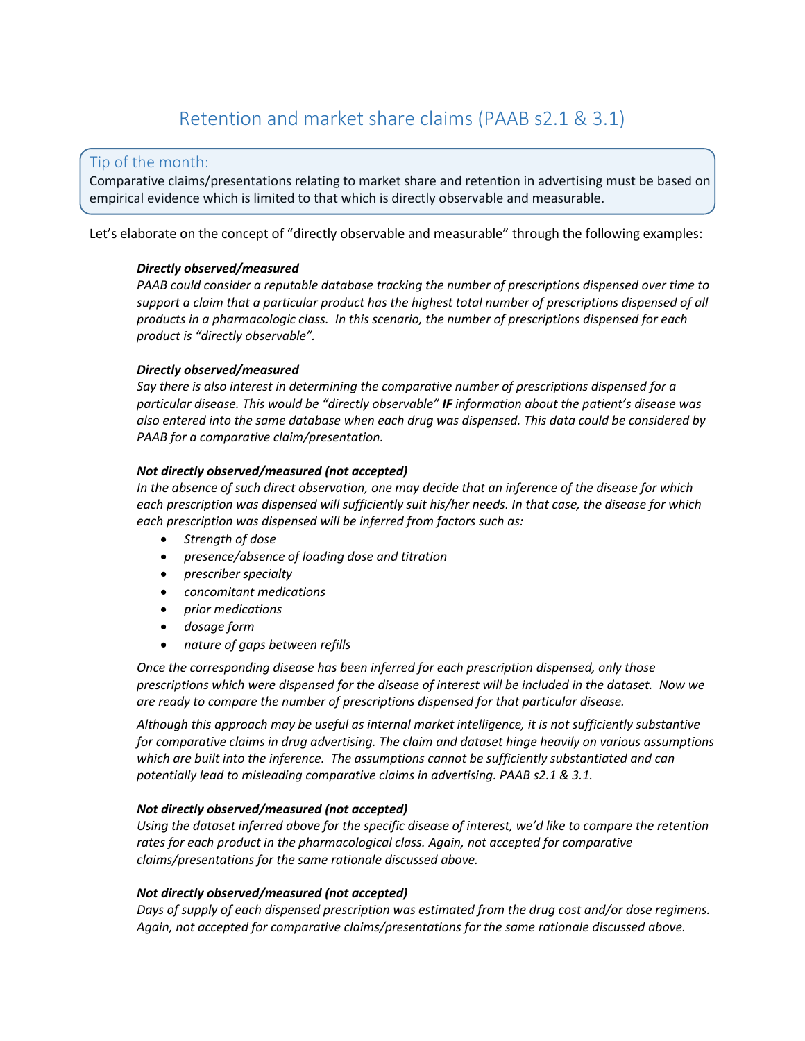# Retention and market share claims (PAAB s2.1 & 3.1)

### Tip of the month:

Comparative claims/presentations relating to market share and retention in advertising must be based on empirical evidence which is limited to that which is directly observable and measurable.

Let's elaborate on the concept of "directly observable and measurable" through the following examples:

#### *Directly observed/measured*

*PAAB could consider a reputable database tracking the number of prescriptions dispensed over time to*  support a claim that a particular product has the highest total number of prescriptions dispensed of all *products in a pharmacologic class. In this scenario, the number of prescriptions dispensed for each product is "directly observable".* 

#### *Directly observed/measured*

*Say there is also interest in determining the comparative number of prescriptions dispensed for a particular disease. This would be "directly observable" IF information about the patient's disease was also entered into the same database when each drug was dispensed. This data could be considered by PAAB for a comparative claim/presentation.*

#### *Not directly observed/measured (not accepted)*

*In the absence of such direct observation, one may decide that an inference of the disease for which each prescription was dispensed will sufficiently suit his/her needs. In that case, the disease for which each prescription was dispensed will be inferred from factors such as:*

- *Strength of dose*
- *presence/absence of loading dose and titration*
- *prescriber specialty*
- *concomitant medications*
- *prior medications*
- *dosage form*
- *nature of gaps between refills*

*Once the corresponding disease has been inferred for each prescription dispensed, only those prescriptions which were dispensed for the disease of interest will be included in the dataset. Now we are ready to compare the number of prescriptions dispensed for that particular disease.*

*Although this approach may be useful as internal market intelligence, it is not sufficiently substantive for comparative claims in drug advertising. The claim and dataset hinge heavily on various assumptions which are built into the inference. The assumptions cannot be sufficiently substantiated and can potentially lead to misleading comparative claims in advertising. PAAB s2.1 & 3.1.* 

#### *Not directly observed/measured (not accepted)*

*Using the dataset inferred above for the specific disease of interest, we'd like to compare the retention*  rates for each product in the pharmacological class. Again, not accepted for comparative *claims/presentations for the same rationale discussed above.* 

#### *Not directly observed/measured (not accepted)*

*Days of supply of each dispensed prescription was estimated from the drug cost and/or dose regimens. Again, not accepted for comparative claims/presentations for the same rationale discussed above.*